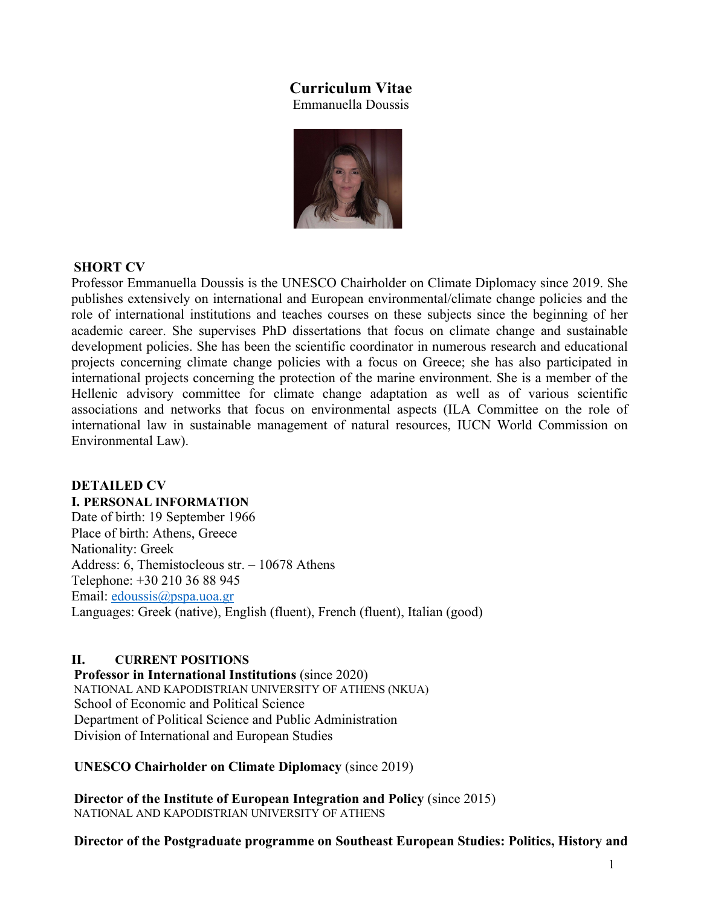# **Curriculum Vitae**

Emmanuella Doussis



### **SHORT CV**

Professor Emmanuella Doussis is the UNESCO Chairholder on Climate Diplomacy since 2019. She publishes extensively on international and European environmental/climate change policies and the role of international institutions and teaches courses on these subjects since the beginning of her academic career. She supervises PhD dissertations that focus on climate change and sustainable development policies. She has been the scientific coordinator in numerous research and educational projects concerning climate change policies with a focus on Greece; she has also participated in international projects concerning the protection of the marine environment. She is a member of the Hellenic advisory committee for climate change adaptation as well as of various scientific associations and networks that focus on environmental aspects (ILA Committee on the role of international law in sustainable management of natural resources, IUCN World Commission on Environmental Law).

#### **DETAILED CV I. PERSONAL INFORMATION**

Date of birth: 19 September 1966 Place of birth: Athens, Greece Nationality: Greek Address: 6, Themistocleous str. – 10678 Athens Telephone: +30 210 36 88 945 Email: edoussis@pspa.uoa.gr Languages: Greek (native), English (fluent), French (fluent), Italian (good)

### **II. CURRENT POSITIONS**

**Professor in International Institutions** (since 2020) NATIONAL AND KAPODISTRIAN UNIVERSITY OF ATHENS (NKUA) School of Economic and Political Science Department of Political Science and Public Administration Division of International and European Studies

#### **UNESCO Chairholder on Climate Diplomacy** (since 2019)

**Director of the Institute of European Integration and Policy** (since 2015) NATIONAL AND KAPODISTRIAN UNIVERSITY OF ATHENS

**Director of the Postgraduate programme on Southeast European Studies: Politics, History and**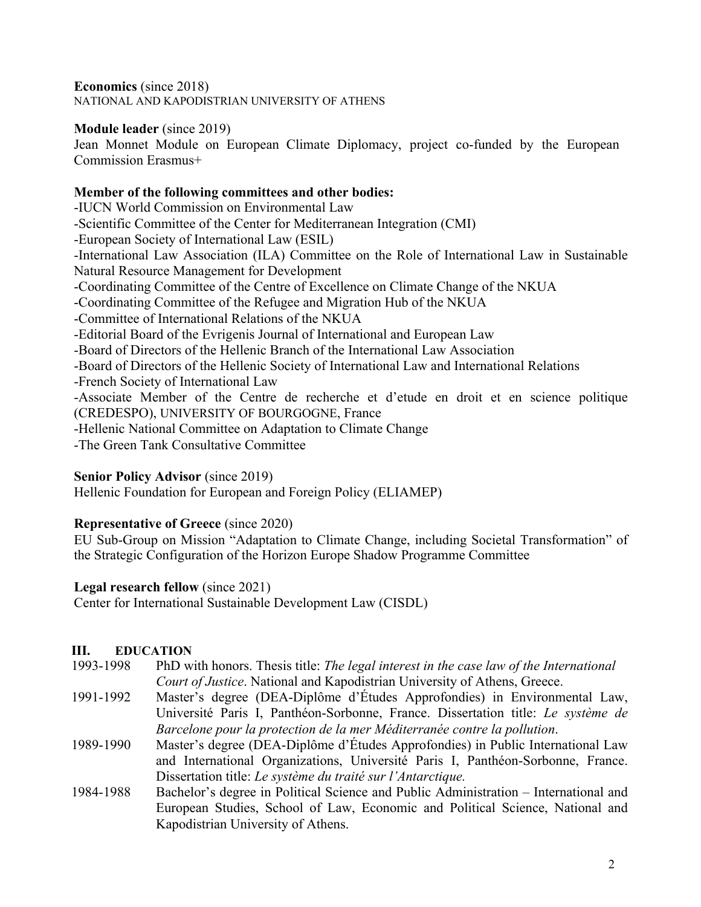**Economics** (since 2018) NATIONAL AND KAPODISTRIAN UNIVERSITY OF ATHENS

## **Module leader** (since 2019)

Jean Monnet Module on European Climate Diplomacy, project co-funded by the European Commission Erasmus+

## **Member of the following committees and other bodies:**

-IUCN World Commission on Environmental Law -Scientific Committee of the Center for Mediterranean Integration (CMI) -European Society of International Law (ESIL) -International Law Association (ILA) Committee on the Role of International Law in Sustainable Natural Resource Management for Development -Coordinating Committee of the Centre of Excellence on Climate Change of the NKUA -Coordinating Committee of the Refugee and Migration Hub of the NKUA -Committee of International Relations of the NKUA -Editorial Board of the Evrigenis Journal of International and European Law -Board of Directors of the Hellenic Branch of the International Law Association -Board of Directors of the Hellenic Society of International Law and International Relations -French Society of International Law -Associate Member of the Centre de recherche et d'etude en droit et en science politique (CREDESPO), UNIVERSITY OF BOURGOGNE, France -Hellenic National Committee on Adaptation to Climate Change -The Green Tank Consultative Committee

## **Senior Policy Advisor** (since 2019)

Hellenic Foundation for European and Foreign Policy (ELIAMEP)

## **Representative of Greece** (since 2020)

EU Sub-Group on Mission "Adaptation to Climate Change, including Societal Transformation" of the Strategic Configuration of the Horizon Europe Shadow Programme Committee

## **Legal research fellow** (since 2021)

Center for International Sustainable Development Law (CISDL)

## **III. EDUCATION**

- 1993-1998 PhD with honors. Thesis title: *The legal interest in the case law of the International Court of Justice*. National and Kapodistrian University of Athens, Greece.
- 1991-1992 Master's degree (DEA-Diplôme d'Études Approfondies) in Environmental Law, Université Paris I, Panthéon-Sorbonne, France. Dissertation title: *Le système de Barcelone pour la protection de la mer Méditerranée contre la pollution*.
- 1989-1990 Master's degree (DEA-Diplôme d'Études Approfondies) in Public International Law and International Organizations, Université Paris I, Panthéon-Sorbonne, France. Dissertation title: *Le système du traité sur l'Antarctique.*
- 1984-1988 Bachelor's degree in Political Science and Public Administration International and European Studies, School of Law, Economic and Political Science, National and Kapodistrian University of Athens.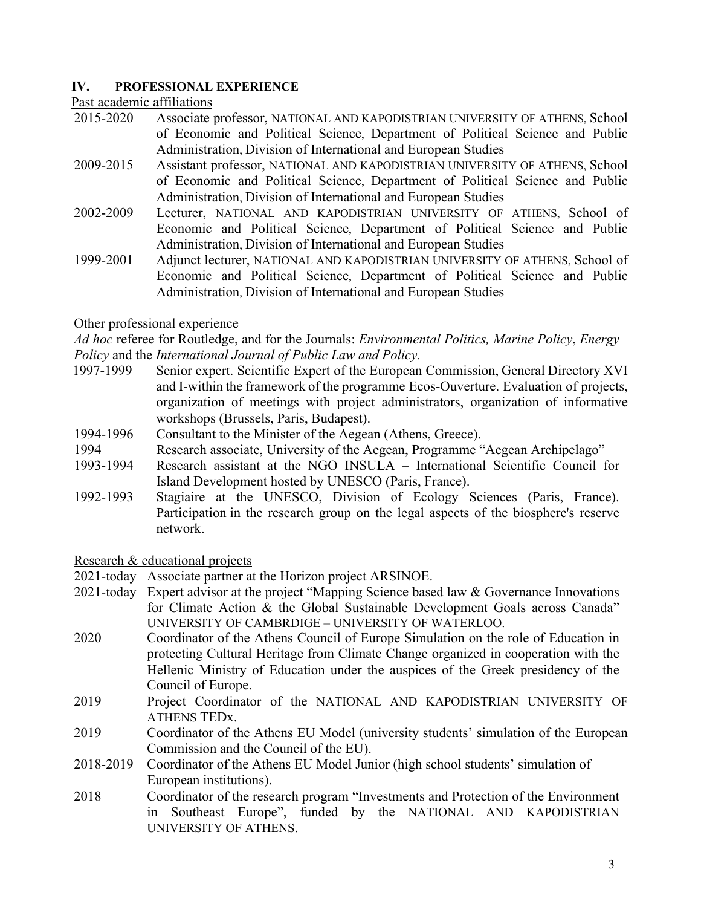### **IV. PROFESSIONAL EXPERIENCE**

Past academic affiliations

- 2015-2020 Associate professor, NATIONAL AND KAPODISTRIAN UNIVERSITY OF ATHENS, School of Economic and Political Science, Department of Political Science and Public Administration, Division of International and European Studies
- 2009-2015 Assistant professor, NATIONAL AND KAPODISTRIAN UNIVERSITY OF ATHENS, School of Economic and Political Science, Department of Political Science and Public Administration, Division of International and European Studies
- 2002-2009 Lecturer, NATIONAL AND KAPODISTRIAN UNIVERSITY OF ATHENS, School of Economic and Political Science, Department of Political Science and Public Administration, Division of International and European Studies
- 1999-2001 Adjunct lecturer, NATIONAL AND KAPODISTRIAN UNIVERSITY OF ATHENS, School of Economic and Political Science, Department of Political Science and Public Administration, Division of International and European Studies

### Other professional experience

*Ad hoc* referee for Routledge, and for the Journals: *Environmental Politics, Marine Policy*, *Energy Policy* and the *International Journal of Public Law and Policy.*

- 1997-1999 Senior expert. Scientific Expert of the European Commission, General Directory XVI and I-within the framework of the programme Ecos-Ouverture. Evaluation of projects, organization of meetings with project administrators, organization of informative workshops (Brussels, Paris, Budapest).
- 1994-1996 Consultant to the Minister of the Aegean (Athens, Greece).
- 1994 Research associate, University of the Aegean, Programme "Aegean Archipelago"
- 1993-1994 Research assistant at the NGO INSULA International Scientific Council for Island Development hosted by UNESCO (Paris, France).
- 1992-1993 Stagiaire at the UNESCO, Division of Ecology Sciences (Paris, France). Participation in the research group on the legal aspects of the biosphere's reserve network.

Research & educational projects

2021-today Associate partner at the Horizon project ARSINOE.

- 2021-today Expert advisor at the project "Mapping Science based law & Governance Innovations for Climate Action & the Global Sustainable Development Goals across Canada" UNIVERSITY OF CAMBRDIGE – UNIVERSITY OF WATERLOO.
- 2020 Coordinator of the Athens Council of Europe Simulation on the role of Education in protecting Cultural Heritage from Climate Change organized in cooperation with the Hellenic Ministry of Education under the auspices of the Greek presidency of the Council of Europe.
- 2019 Project Coordinator of the NATIONAL AND KAPODISTRIAN UNIVERSITY OF ATHENS TEDx.
- 2019 Coordinator of the Athens EU Model (university students' simulation of the European Commission and the Council of the EU).
- 2018-2019 Coordinator of the Athens EU Model Junior (high school students' simulation of European institutions).
- 2018 Coordinator of the research program "Investments and Protection of the Environment in Southeast Europe", funded by the NATIONAL AND KAPODISTRIAN UNIVERSITY OF ATHENS.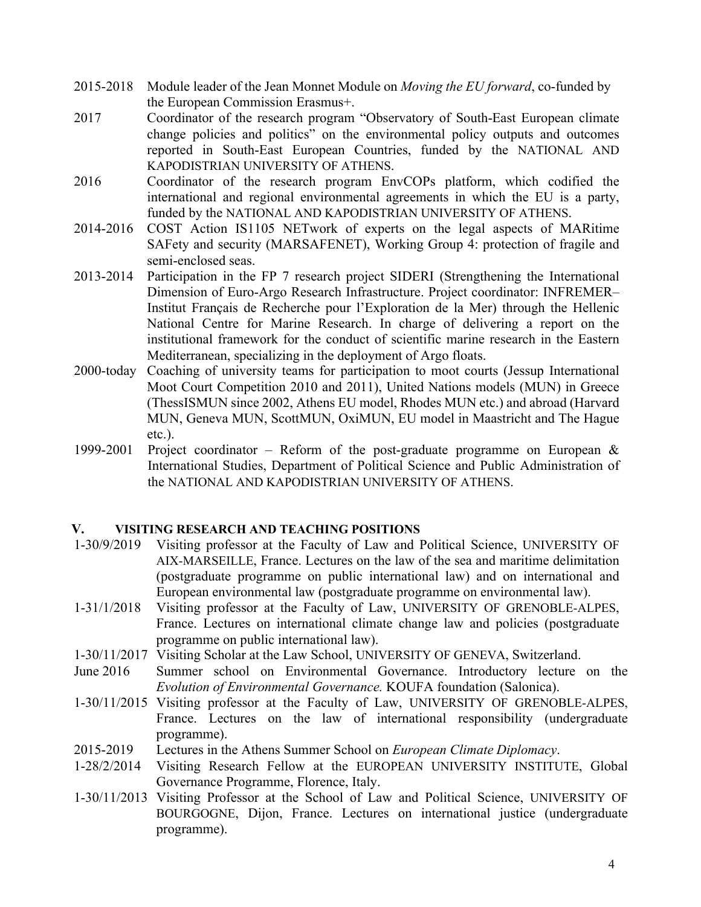- 2015-2018 Module leader of the Jean Monnet Module on *Moving the EU forward*, co-funded by the European Commission Erasmus+.
- 2017 Coordinator of the research program "Observatory of South-East European climate change policies and politics" on the environmental policy outputs and outcomes reported in South-East European Countries, funded by the NATIONAL AND KAPODISTRIAN UNIVERSITY OF ATHENS.
- 2016 Coordinator of the research program EnvCOPs platform, which codified the international and regional environmental agreements in which the EU is a party, funded by the NATIONAL AND KAPODISTRIAN UNIVERSITY OF ATHENS.
- 2014-2016 COST Action IS1105 NETwork of experts on the legal aspects of MARitime SAFety and security (MARSAFENET), Working Group 4: protection of fragile and semi-enclosed seas.
- 2013-2014 Participation in the FP 7 research project SIDERI (Strengthening the International Dimension of Euro-Argo Research Infrastructure. Project coordinator: INFREMER– Institut Français de Recherche pour l'Exploration de la Mer) through the Hellenic National Centre for Marine Research. In charge of delivering a report on the institutional framework for the conduct of scientific marine research in the Eastern Mediterranean, specializing in the deployment of Argo floats.
- 2000-today Coaching of university teams for participation to moot courts (Jessup International Moot Court Competition 2010 and 2011), United Nations models (MUN) in Greece (ThessISMUN since 2002, Athens EU model, Rhodes MUN etc.) and abroad (Harvard MUN, Geneva MUN, ScottMUN, OxiMUN, EU model in Maastricht and The Hague etc.).
- 1999-2001 Project coordinator Reform of the post-graduate programme on European  $\&$ International Studies, Department of Political Science and Public Administration of the NATIONAL AND KAPODISTRIAN UNIVERSITY OF ATHENS.

### **V. VISITING RESEARCH AND TEACHING POSITIONS**

- 1-30/9/2019 Visiting professor at the Faculty of Law and Political Science, UNIVERSITY OF AIX-MARSEILLE, France. Lectures on the law of the sea and maritime delimitation (postgraduate programme on public international law) and on international and European environmental law (postgraduate programme on environmental law).
- 1-31/1/2018 Visiting professor at the Faculty of Law, UNIVERSITY OF GRENOBLE-ALPES, France. Lectures on international climate change law and policies (postgraduate programme on public international law).
- 1-30/11/2017 Visiting Scholar at the Law School, UNIVERSITY OF GENEVA, Switzerland.
- June 2016 Summer school on Environmental Governance. Introductory lecture on the *Evolution of Environmental Governance.* KOUFA foundation (Salonica).
- 1-30/11/2015 Visiting professor at the Faculty of Law, UNIVERSITY OF GRENOBLE-ALPES, France. Lectures on the law of international responsibility (undergraduate programme).
- 2015-2019 Lectures in the Athens Summer School on *European Climate Diplomacy*.
- 1-28/2/2014 Visiting Research Fellow at the EUROPEAN UNIVERSITY INSTITUTE, Global Governance Programme, Florence, Italy.
- 1-30/11/2013 Visiting Professor at the School of Law and Political Science, UNIVERSITY OF BOURGOGNE, Dijon, France. Lectures on international justice (undergraduate programme).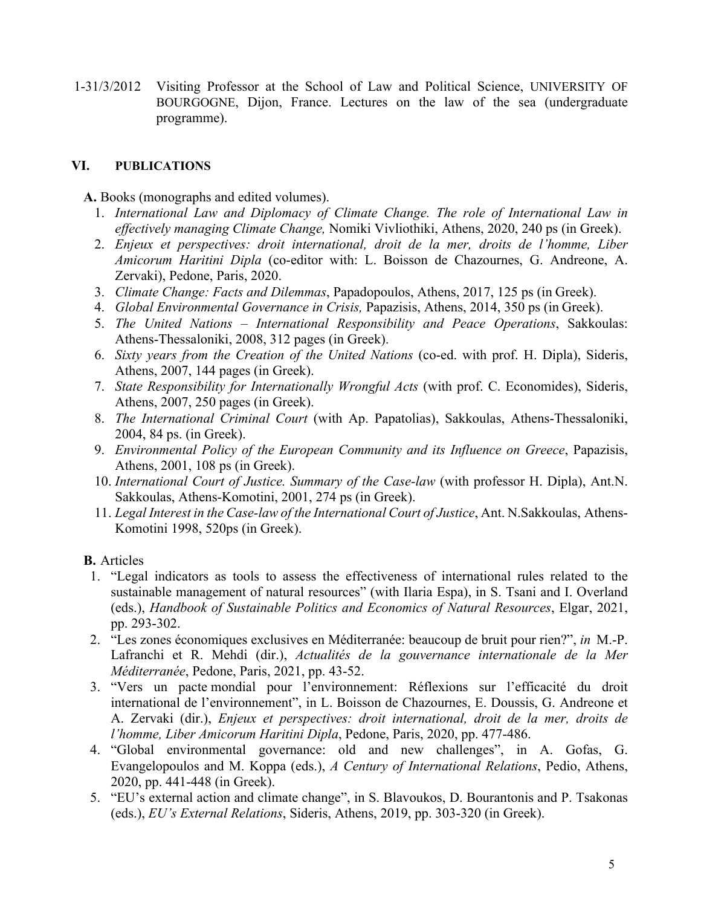1-31/3/2012 Visiting Professor at the School of Law and Political Science, UNIVERSITY OF BOURGOGNE, Dijon, France. Lectures on the law of the sea (undergraduate programme).

## **VI. PUBLICATIONS**

**A.** Books (monographs and edited volumes).

- 1. *International Law and Diplomacy of Climate Change. The role of International Law in effectively managing Climate Change,* Nomiki Vivliothiki, Athens, 2020, 240 ps (in Greek).
- 2. *Enjeux et perspectives: droit international, droit de la mer, droits de l'homme, Liber Amicorum Haritini Dipla* (co-editor with: L. Boisson de Chazournes, G. Andreone, A. Zervaki), Pedone, Paris, 2020.
- 3. *Climate Change: Facts and Dilemmas*, Papadopoulos, Athens, 2017, 125 ps (in Greek).
- 4. *Global Environmental Governance in Crisis,* Papazisis, Athens, 2014, 350 ps (in Greek).
- 5. *The United Nations – International Responsibility and Peace Operations*, Sakkoulas: Athens-Thessaloniki, 2008, 312 pages (in Greek).
- 6. *Sixty years from the Creation of the United Nations* (co-ed. with prof. H. Dipla), Sideris, Athens, 2007, 144 pages (in Greek).
- 7. *State Responsibility for Internationally Wrongful Acts* (with prof. C. Economides), Sideris, Athens, 2007, 250 pages (in Greek).
- 8. *The International Criminal Court* (with Ap. Papatolias), Sakkoulas, Athens-Thessaloniki, 2004, 84 ps. (in Greek).
- 9. *Environmental Policy of the European Community and its Influence on Greece*, Papazisis, Athens, 2001, 108 ps (in Greek).
- 10. *International Court of Justice. Summary of the Case-law* (with professor H. Dipla), Ant.N. Sakkoulas, Athens-Komotini, 2001, 274 ps (in Greek).
- 11. *Legal Interest in the Case-law of the International Court of Justice*, Ant. N.Sakkoulas, Athens-Komotini 1998, 520ps (in Greek).

**B.** Articles

- 1. "Legal indicators as tools to assess the effectiveness of international rules related to the sustainable management of natural resources" (with Ilaria Espa), in S. Tsani and I. Overland (eds.), *Handbook of Sustainable Politics and Economics of Natural Resources*, Elgar, 2021, pp. 293-302.
- 2. "Les zones économiques exclusives en Méditerranée: beaucoup de bruit pour rien?", *in* M.-P. Lafranchi et R. Mehdi (dir.), *Actualités de la gouvernance internationale de la Mer Méditerranée*, Pedone, Paris, 2021, pp. 43-52.
- 3. "Vers un pacte mondial pour l'environnement: Réflexions sur l'efficacité du droit international de l'environnement", in L. Boisson de Chazournes, E. Doussis, G. Andreone et A. Zervaki (dir.), *Enjeux et perspectives: droit international, droit de la mer, droits de l'homme, Liber Amicorum Haritini Dipla*, Pedone, Paris, 2020, pp. 477-486.
- 4. "Global environmental governance: old and new challenges", in A. Gofas, G. Evangelopoulos and M. Koppa (eds.), *A Century of International Relations*, Pedio, Athens, 2020, pp. 441-448 (in Greek).
- 5. "EU's external action and climate change", in S. Blavoukos, D. Bourantonis and P. Tsakonas (eds.), *EU's External Relations*, Sideris, Athens, 2019, pp. 303-320 (in Greek).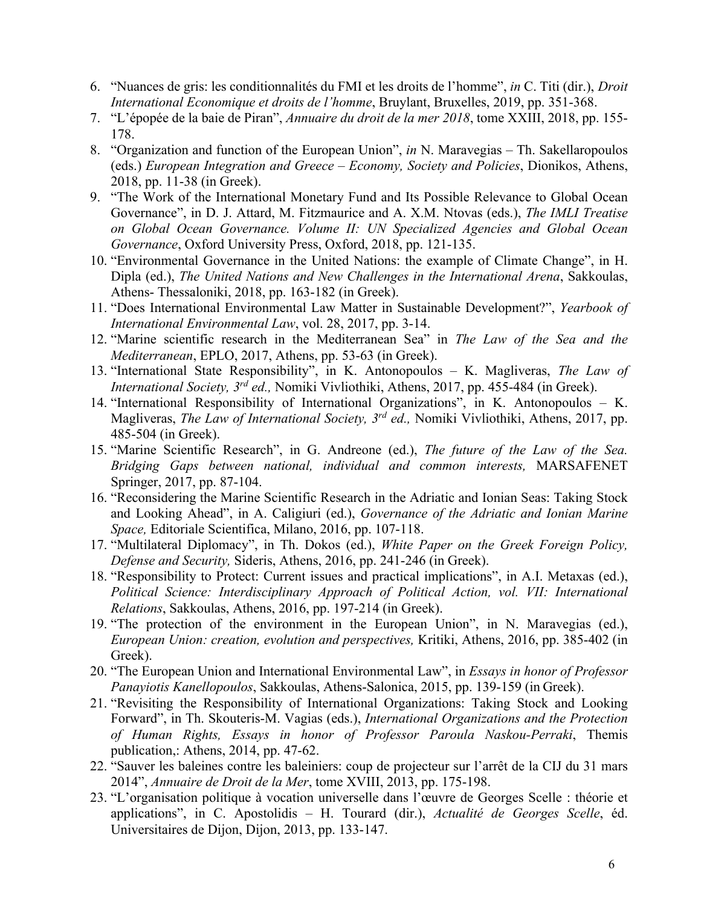- 6. "Nuances de gris: les conditionnalités du FMI et les droits de l'homme", *in* C. Titi (dir.), *Droit International Economique et droits de l'homme*, Bruylant, Bruxelles, 2019, pp. 351-368.
- 7. "L'épopée de la baie de Piran", *Annuaire du droit de la mer 2018*, tome XXIII, 2018, pp. 155- 178.
- 8. "Organization and function of the European Union", *in* N. Maravegias Th. Sakellaropoulos (eds.) *European Integration and Greece – Economy, Society and Policies*, Dionikos, Athens, 2018, pp. 11-38 (in Greek).
- 9. "The Work of the International Monetary Fund and Its Possible Relevance to Global Ocean Governance", in D. J. Attard, M. Fitzmaurice and A. X.M. Ntovas (eds.), *The IMLI Treatise on Global Ocean Governance. Volume II: UN Specialized Agencies and Global Ocean Governance*, Oxford University Press, Oxford, 2018, pp. 121-135.
- 10. "Environmental Governance in the United Nations: the example of Climate Change", in H. Dipla (ed.), *The United Nations and New Challenges in the International Arena*, Sakkoulas, Athens- Thessaloniki, 2018, pp. 163-182 (in Greek).
- 11. "Does International Environmental Law Matter in Sustainable Development?", *Yearbook of International Environmental Law*, vol. 28, 2017, pp. 3-14.
- 12. "Marine scientific research in the Mediterranean Sea" in *The Law of the Sea and the Mediterranean*, EPLO, 2017, Athens, pp. 53-63 (in Greek).
- 13. "International State Responsibility", in K. Antonopoulos K. Magliveras, *The Law of International Society, 3rd ed.,* Nomiki Vivliothiki, Athens, 2017, pp. 455-484 (in Greek).
- 14. "International Responsibility of International Organizations", in K. Antonopoulos K. Magliveras, *The Law of International Society, 3rd ed.,* Nomiki Vivliothiki, Athens, 2017, pp. 485-504 (in Greek).
- 15. "Marine Scientific Research", in G. Andreone (ed.), *The future of the Law of the Sea. Bridging Gaps between national, individual and common interests,* MARSAFENET Springer, 2017, pp. 87-104.
- 16. "Reconsidering the Marine Scientific Research in the Adriatic and Ionian Seas: Taking Stock and Looking Ahead", in A. Caligiuri (ed.), *Governance of the Adriatic and Ionian Marine Space,* Editoriale Scientifica, Milano, 2016, pp. 107-118.
- 17. "Multilateral Diplomacy", in Th. Dokos (ed.), *White Paper on the Greek Foreign Policy, Defense and Security,* Sideris, Athens, 2016, pp. 241-246 (in Greek).
- 18. "Responsibility to Protect: Current issues and practical implications", in A.I. Metaxas (ed.), *Political Science: Interdisciplinary Approach of Political Action, vol. VII: International Relations*, Sakkoulas, Athens, 2016, pp. 197-214 (in Greek).
- 19. "The protection of the environment in the European Union", in N. Maravegias (ed.), *European Union: creation, evolution and perspectives,* Kritiki, Athens, 2016, pp. 385-402 (in Greek).
- 20. "The European Union and International Environmental Law", in *Essays in honor of Professor Panayiotis Kanellopoulos*, Sakkoulas, Athens-Salonica, 2015, pp. 139-159 (in Greek).
- 21. "Revisiting the Responsibility of International Organizations: Taking Stock and Looking Forward", in Th. Skouteris-M. Vagias (eds.), *International Organizations and the Protection of Human Rights, Essays in honor of Professor Paroula Naskou-Perraki*, Themis publication,: Athens, 2014, pp. 47-62.
- 22. "Sauver les baleines contre les baleiniers: coup de projecteur sur l'arrêt de la CIJ du 31 mars 2014", *Annuaire de Droit de la Mer*, tome XVIII, 2013, pp. 175-198.
- 23. "L'organisation politique à vocation universelle dans l'œuvre de Georges Scelle : théorie et applications", in C. Apostolidis – H. Tourard (dir.), *Actualité de Georges Scelle*, éd. Universitaires de Dijon, Dijon, 2013, pp. 133-147.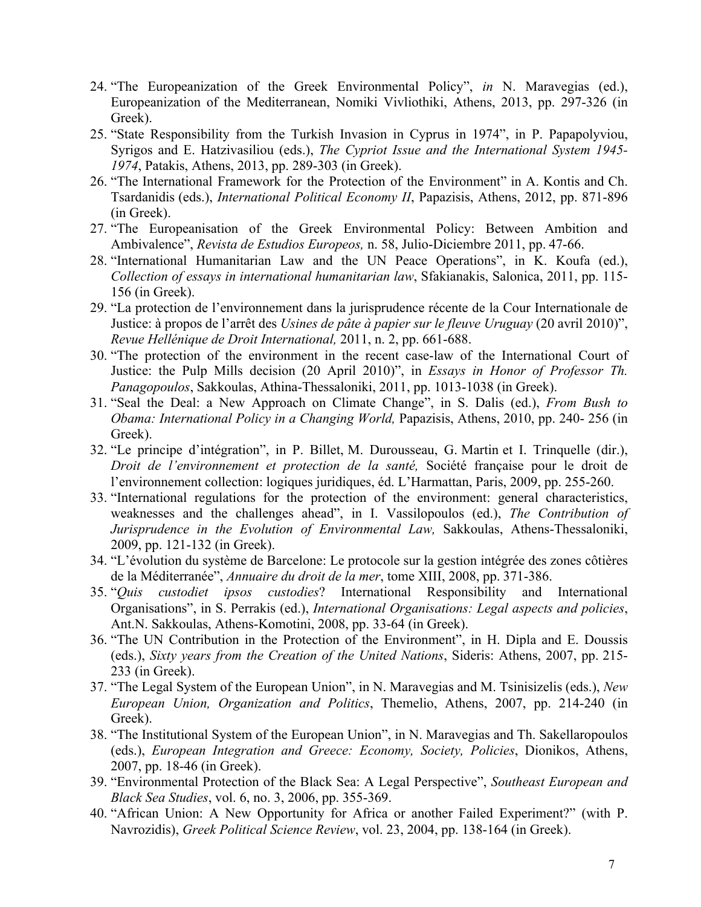- 24. "The Europeanization of the Greek Environmental Policy", *in* N. Maravegias (ed.), Europeanization of the Mediterranean, Nomiki Vivliothiki, Athens, 2013, pp. 297-326 (in Greek).
- 25. "State Responsibility from the Turkish Invasion in Cyprus in 1974", in P. Papapolyviou, Syrigos and E. Hatzivasiliou (eds.), *The Cypriot Issue and the International System 1945- 1974*, Patakis, Athens, 2013, pp. 289-303 (in Greek).
- 26. "The International Framework for the Protection of the Environment" in A. Kontis and Ch. Tsardanidis (eds.), *International Political Economy II*, Papazisis, Athens, 2012, pp. 871-896 (in Greek).
- 27. "The Europeanisation of the Greek Environmental Policy: Between Ambition and Ambivalence", *Revista de Estudios Europeos,* n. 58, Julio-Diciembre 2011, pp. 47-66.
- 28. "International Humanitarian Law and the UN Peace Operations", in K. Koufa (ed.), *Collection of essays in international humanitarian law*, Sfakianakis, Salonica, 2011, pp. 115- 156 (in Greek).
- 29. "La protection de l'environnement dans la jurisprudence récente de la Cour Internationale de Justice: à propos de l'arrêt des *Usines de pâte à papier sur le fleuve Uruguay* (20 avril 2010)", *Revue Hellénique de Droit International,* 2011, n. 2, pp. 661-688.
- 30. "The protection of the environment in the recent case-law of the International Court of Justice: the Pulp Mills decision (20 April 2010)", in *Essays in Honor of Professor Th. Panagopoulos*, Sakkoulas, Athina-Thessaloniki, 2011, pp. 1013-1038 (in Greek).
- 31. "Seal the Deal: a New Approach on Climate Change", in S. Dalis (ed.), *From Bush to Obama: International Policy in a Changing World,* Papazisis, Athens, 2010, pp. 240- 256 (in Greek).
- 32. "Le principe d'intégration", in P. Billet, M. Durousseau, G. Martin et I. Trinquelle (dir.), *Droit de l'environnement et protection de la santé,* Société française pour le droit de l'environnement collection: logiques juridiques, éd. L'Harmattan, Paris, 2009, pp. 255-260.
- 33. "International regulations for the protection of the environment: general characteristics, weaknesses and the challenges ahead", in I. Vassilopoulos (ed.), *The Contribution of Jurisprudence in the Evolution of Environmental Law,* Sakkoulas, Athens-Thessaloniki, 2009, pp. 121-132 (in Greek).
- 34. "L'évolution du système de Barcelone: Le protocole sur la gestion intégrée des zones côtières de la Méditerranée", *Annuaire du droit de la mer*, tome XIII, 2008, pp. 371-386.
- 35. "*Quis custodiet ipsos custodies*? International Responsibility and International Organisations", in S. Perrakis (ed.), *International Organisations: Legal aspects and policies*, Ant.N. Sakkoulas, Athens-Komotini, 2008, pp. 33-64 (in Greek).
- 36. "The UN Contribution in the Protection of the Environment", in H. Dipla and E. Doussis (eds.), *Sixty years from the Creation of the United Nations*, Sideris: Athens, 2007, pp. 215- 233 (in Greek).
- 37. "The Legal System of the European Union", in N. Maravegias and M. Tsinisizelis (eds.), *New European Union, Organization and Politics*, Themelio, Athens, 2007, pp. 214-240 (in Greek).
- 38. "The Institutional System of the European Union", in N. Maravegias and Th. Sakellaropoulos (eds.), *European Integration and Greece: Economy, Society, Policies*, Dionikos, Athens, 2007, pp. 18-46 (in Greek).
- 39. "Environmental Protection of the Black Sea: A Legal Perspective", *Southeast European and Black Sea Studies*, vol. 6, no. 3, 2006, pp. 355-369.
- 40. "African Union: A New Opportunity for Africa or another Failed Experiment?" (with P. Navrozidis), *Greek Political Science Review*, vol. 23, 2004, pp. 138-164 (in Greek).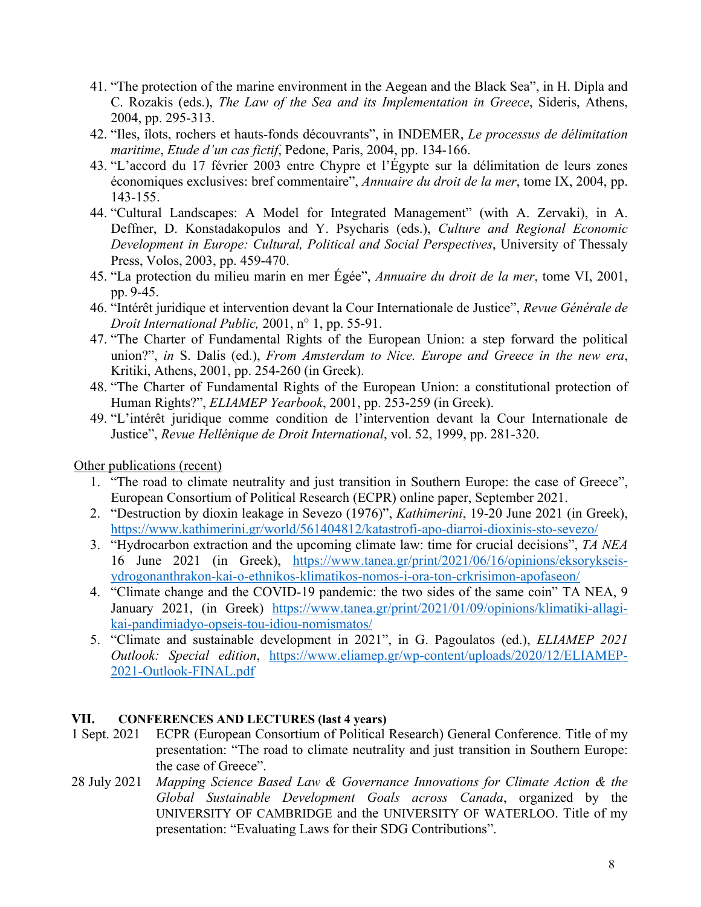- 41. "The protection of the marine environment in the Aegean and the Black Sea", in H. Dipla and C. Rozakis (eds.), *The Law of the Sea and its Implementation in Greece*, Sideris, Athens, 2004, pp. 295-313.
- 42. "Iles, îlots, rochers et hauts-fonds découvrants", in INDEMER, *Le processus de délimitation maritime*, *Etude d'un cas fictif*, Pedone, Paris, 2004, pp. 134-166.
- 43. "L'accord du 17 février 2003 entre Chypre et l'Égypte sur la délimitation de leurs zones économiques exclusives: bref commentaire", *Annuaire du droit de la mer*, tome IX, 2004, pp. 143-155.
- 44. "Cultural Landscapes: A Model for Integrated Management" (with A. Zervaki), in A. Deffner, D. Konstadakopulos and Y. Psycharis (eds.), *Culture and Regional Economic Development in Europe: Cultural, Political and Social Perspectives*, University of Thessaly Press, Volos, 2003, pp. 459-470.
- 45. "La protection du milieu marin en mer Égée", *Annuaire du droit de la mer*, tome VI, 2001, pp. 9-45.
- 46. "Intérêt juridique et intervention devant la Cour Internationale de Justice", *Revue Générale de Droit International Public,* 2001, n° 1, pp. 55-91.
- 47. "The Charter of Fundamental Rights of the European Union: a step forward the political union?", *in* S. Dalis (ed.), *From Amsterdam to Nice. Europe and Greece in the new era*, Kritiki, Athens, 2001, pp. 254-260 (in Greek).
- 48. "The Charter of Fundamental Rights of the European Union: a constitutional protection of Human Rights?", *ELIAMEP Yearbook*, 2001, pp. 253-259 (in Greek).
- 49. "L'intérêt juridique comme condition de l'intervention devant la Cour Internationale de Justice", *Revue Hellénique de Droit International*, vol. 52, 1999, pp. 281-320.

Other publications (recent)

- 1. "The road to climate neutrality and just transition in Southern Europe: the case of Greece", European Consortium of Political Research (ECPR) online paper, September 2021.
- 2. "Destruction by dioxin leakage in Sevezo (1976)", *Kathimerini*, 19-20 June 2021 (in Greek), https://www.kathimerini.gr/world/561404812/katastrofi-apo-diarroi-dioxinis-sto-sevezo/
- 3. "Hydrocarbon extraction and the upcoming climate law: time for crucial decisions", *TA NEA* 16 June 2021 (in Greek), https://www.tanea.gr/print/2021/06/16/opinions/eksorykseisydrogonanthrakon-kai-o-ethnikos-klimatikos-nomos-i-ora-ton-crkrisimon-apofaseon/
- 4. "Climate change and the COVID-19 pandemic: the two sides of the same coin" TA NEA, 9 January 2021, (in Greek) https://www.tanea.gr/print/2021/01/09/opinions/klimatiki-allagikai-pandimiadyo-opseis-tou-idiou-nomismatos/
- 5. "Climate and sustainable development in 2021", in G. Pagoulatos (ed.), *ELIAMEP 2021 Outlook: Special edition*, https://www.eliamep.gr/wp-content/uploads/2020/12/ELIAMEP-2021-Outlook-FINAL.pdf

### **VII. CONFERENCES AND LECTURES (last 4 years)**

- 1 Sept. 2021 ECPR (European Consortium of Political Research) General Conference. Title of my presentation: "The road to climate neutrality and just transition in Southern Europe: the case of Greece".
- 28 July 2021 *Mapping Science Based Law & Governance Innovations for Climate Action & the Global Sustainable Development Goals across Canada*, organized by the UNIVERSITY OF CAMBRIDGE and the UNIVERSITY OF WATERLOO. Title of my presentation: "Evaluating Laws for their SDG Contributions".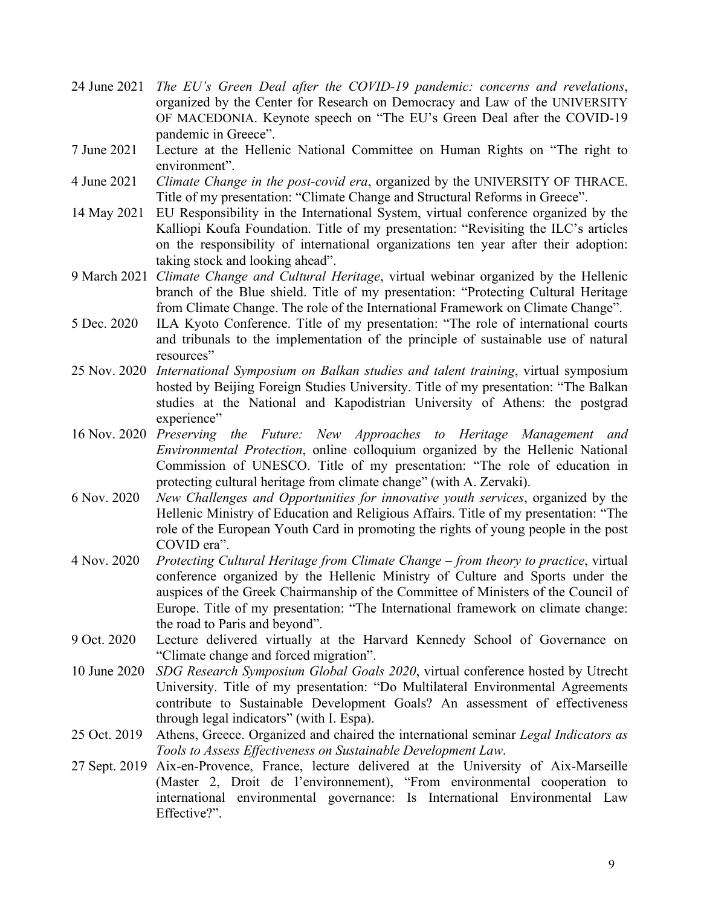- 24 June 2021 *The EU's Green Deal after the COVID-19 pandemic: concerns and revelations*, organized by the Center for Research on Democracy and Law of the UNIVERSITY OF MACEDONIA. Keynote speech on "The EU's Green Deal after the COVID-19 pandemic in Greece".
- 7 June 2021 Lecture at the Hellenic National Committee on Human Rights on "The right to environment".
- 4 June 2021 *Climate Change in the post-covid era*, organized by the UNIVERSITY OF THRACE. Title of my presentation: "Climate Change and Structural Reforms in Greece".
- 14 May 2021 EU Responsibility in the International System, virtual conference organized by the Kalliopi Koufa Foundation. Title of my presentation: "Revisiting the ILC's articles on the responsibility of international organizations ten year after their adoption: taking stock and looking ahead".
- 9 March 2021 *Climate Change and Cultural Heritage*, virtual webinar organized by the Hellenic branch of the Blue shield. Title of my presentation: "Protecting Cultural Heritage from Climate Change. The role of the International Framework on Climate Change".
- 5 Dec. 2020 ILA Kyoto Conference. Title of my presentation: "The role of international courts and tribunals to the implementation of the principle of sustainable use of natural resources"
- 25 Nov. 2020 *International Symposium on Balkan studies and talent training*, virtual symposium hosted by Beijing Foreign Studies University. Title of my presentation: "The Balkan studies at the National and Kapodistrian University of Athens: the postgrad experience"
- 16 Nov. 2020 *Preserving the Future: New Approaches to Heritage Management and Environmental Protection*, online colloquium organized by the Hellenic National Commission of UNESCO. Title of my presentation: "The role of education in protecting cultural heritage from climate change" (with A. Zervaki).
- 6 Nov. 2020 *New Challenges and Opportunities for innovative youth services*, organized by the Hellenic Ministry of Education and Religious Affairs. Title of my presentation: "The role of the European Youth Card in promoting the rights of young people in the post COVID era".
- 4 Nov. 2020 *Protecting Cultural Heritage from Climate Change – from theory to practice*, virtual conference organized by the Hellenic Ministry of Culture and Sports under the auspices of the Greek Chairmanship of the Committee of Ministers of the Council of Europe. Title of my presentation: "The International framework on climate change: the road to Paris and beyond".
- 9 Oct. 2020 Lecture delivered virtually at the Harvard Kennedy School of Governance on "Climate change and forced migration".
- 10 June 2020 *SDG Research Symposium Global Goals 2020*, virtual conference hosted by Utrecht University. Title of my presentation: "Do Multilateral Environmental Agreements contribute to Sustainable Development Goals? An assessment of effectiveness through legal indicators" (with I. Espa).
- 25 Oct. 2019 Athens, Greece. Organized and chaired the international seminar *Legal Indicators as Tools to Assess Effectiveness on Sustainable Development Law*.
- 27 Sept. 2019 Aix-en-Provence, France, lecture delivered at the University of Aix-Marseille (Master 2, Droit de l'environnement), "From environmental cooperation to international environmental governance: Is International Environmental Law Effective?".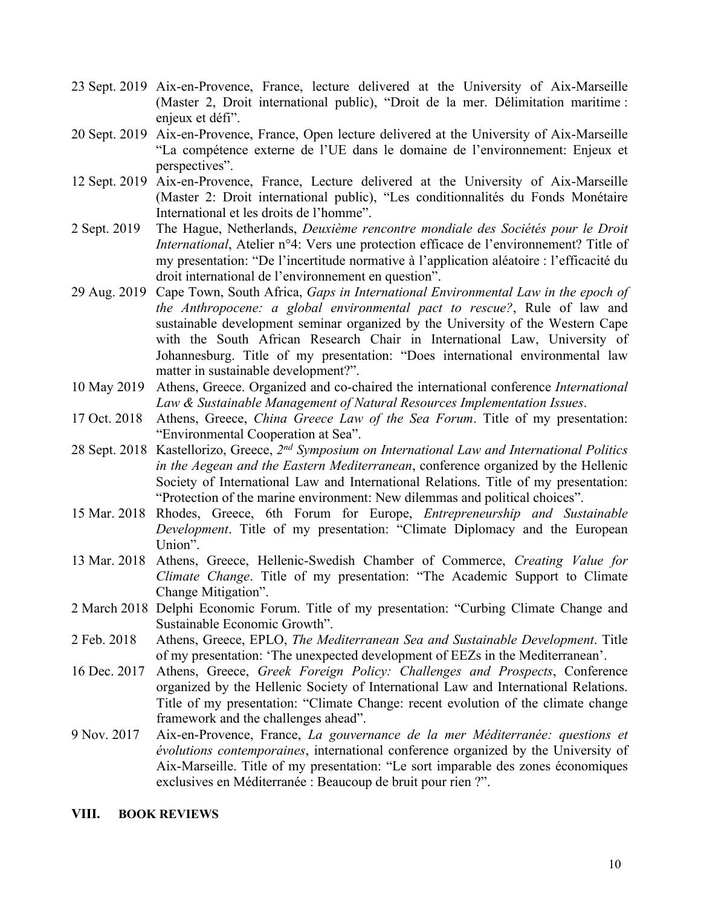- 23 Sept. 2019 Aix-en-Provence, France, lecture delivered at the University of Aix-Marseille (Master 2, Droit international public), "Droit de la mer. Délimitation maritime : enjeux et défi".
- 20 Sept. 2019 Aix-en-Provence, France, Open lecture delivered at the University of Aix-Marseille "La compétence externe de l'UE dans le domaine de l'environnement: Enjeux et perspectives".
- 12 Sept. 2019 Aix-en-Provence, France, Lecture delivered at the University of Aix-Marseille (Master 2: Droit international public), "Les conditionnalités du Fonds Monétaire International et les droits de l'homme".
- 2 Sept. 2019 The Hague, Netherlands, *Deuxième rencontre mondiale des Sociétés pour le Droit International*, Atelier n°4: Vers une protection efficace de l'environnement? Title of my presentation: "De l'incertitude normative à l'application aléatoire : l'efficacité du droit international de l'environnement en question".
- 29 Aug. 2019 Cape Town, South Africa, *Gaps in International Environmental Law in the epoch of the Anthropocene: a global environmental pact to rescue?*, Rule of law and sustainable development seminar organized by the University of the Western Cape with the South African Research Chair in International Law, University of Johannesburg. Title of my presentation: "Does international environmental law matter in sustainable development?".
- 10 May 2019 Athens, Greece. Organized and co-chaired the international conference *International Law & Sustainable Management of Natural Resources Implementation Issues*.
- 17 Oct. 2018 Athens, Greece, *China Greece Law of the Sea Forum*. Title of my presentation: "Environmental Cooperation at Sea".
- 28 Sept. 2018 Kastellorizo, Greece, *2nd Symposium on International Law and International Politics in the Aegean and the Eastern Mediterranean*, conference organized by the Hellenic Society of International Law and International Relations. Title of my presentation: "Protection of the marine environment: New dilemmas and political choices".
- 15 Mar. 2018 Rhodes, Greece, 6th Forum for Europe, *Entrepreneurship and Sustainable Development*. Title of my presentation: "Climate Diplomacy and the European Union".
- 13 Mar. 2018 Athens, Greece, Hellenic-Swedish Chamber of Commerce, *Creating Value for Climate Change*. Title of my presentation: "The Academic Support to Climate Change Mitigation".
- 2 March 2018 Delphi Economic Forum. Title of my presentation: "Curbing Climate Change and Sustainable Economic Growth".
- 2 Feb. 2018 Athens, Greece, EPLO, *The Mediterranean Sea and Sustainable Development*. Title of my presentation: 'The unexpected development of EEZs in the Mediterranean'.
- 16 Dec. 2017 Athens, Greece, *Greek Foreign Policy: Challenges and Prospects*, Conference organized by the Hellenic Society of International Law and International Relations. Title of my presentation: "Climate Change: recent evolution of the climate change framework and the challenges ahead".
- 9 Nov. 2017 Aix-en-Provence, France, *La gouvernance de la mer Méditerranée: questions et évolutions contemporaines*, international conference organized by the University of Aix-Marseille. Title of my presentation: "Le sort imparable des zones économiques exclusives en Méditerranée : Beaucoup de bruit pour rien ?".

#### **VIII. BOOK REVIEWS**